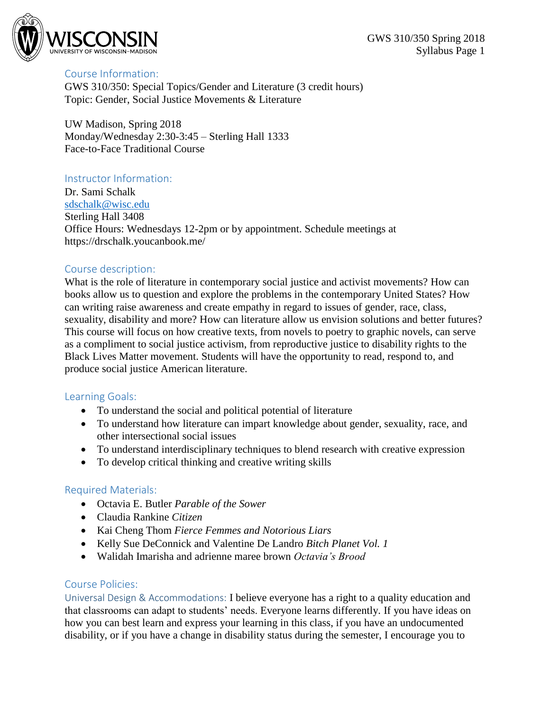

## Course Information:

GWS 310/350: Special Topics/Gender and Literature (3 credit hours) Topic: Gender, Social Justice Movements & Literature

UW Madison, Spring 2018 Monday/Wednesday 2:30-3:45 – Sterling Hall 1333 Face-to-Face Traditional Course

## Instructor Information:

Dr. Sami Schalk [sdschalk@wisc.edu](mailto:sdschalk@wisc.edu) Sterling Hall 3408 Office Hours: Wednesdays 12-2pm or by appointment. Schedule meetings at https://drschalk.youcanbook.me/

## Course description:

What is the role of literature in contemporary social justice and activist movements? How can books allow us to question and explore the problems in the contemporary United States? How can writing raise awareness and create empathy in regard to issues of gender, race, class, sexuality, disability and more? How can literature allow us envision solutions and better futures? This course will focus on how creative texts, from novels to poetry to graphic novels, can serve as a compliment to social justice activism, from reproductive justice to disability rights to the Black Lives Matter movement. Students will have the opportunity to read, respond to, and produce social justice American literature.

## Learning Goals:

- To understand the social and political potential of literature
- To understand how literature can impart knowledge about gender, sexuality, race, and other intersectional social issues
- To understand interdisciplinary techniques to blend research with creative expression
- To develop critical thinking and creative writing skills

#### Required Materials:

- Octavia E. Butler *Parable of the Sower*
- Claudia Rankine *Citizen*
- Kai Cheng Thom *Fierce Femmes and Notorious Liars*
- Kelly Sue DeConnick and Valentine De Landro *Bitch Planet Vol. 1*
- Walidah Imarisha and adrienne maree brown *Octavia's Brood*

## Course Policies:

Universal Design & Accommodations: I believe everyone has a right to a quality education and that classrooms can adapt to students' needs. Everyone learns differently. If you have ideas on how you can best learn and express your learning in this class, if you have an undocumented disability, or if you have a change in disability status during the semester, I encourage you to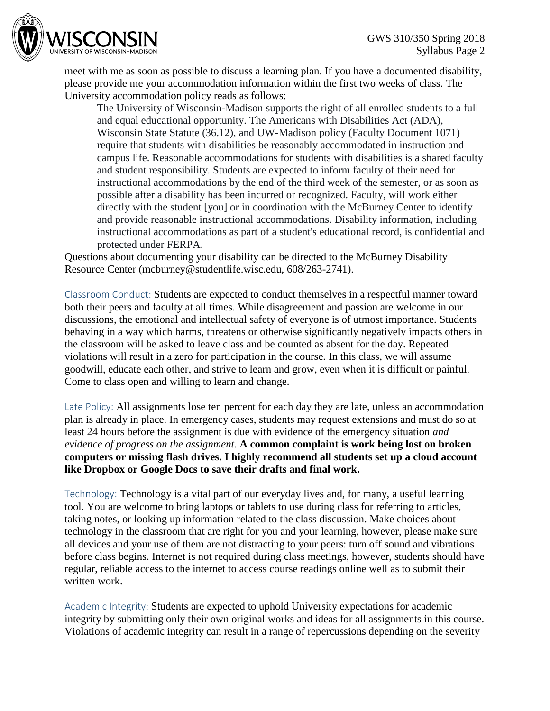

meet with me as soon as possible to discuss a learning plan. If you have a documented disability, please provide me your accommodation information within the first two weeks of class. The University accommodation policy reads as follows:

The University of Wisconsin-Madison supports the right of all enrolled students to a full and equal educational opportunity. The Americans with Disabilities Act (ADA), Wisconsin State Statute (36.12), and UW-Madison policy (Faculty Document 1071) require that students with disabilities be reasonably accommodated in instruction and campus life. Reasonable accommodations for students with disabilities is a shared faculty and student responsibility. Students are expected to inform faculty of their need for instructional accommodations by the end of the third week of the semester, or as soon as possible after a disability has been incurred or recognized. Faculty, will work either directly with the student [you] or in coordination with the McBurney Center to identify and provide reasonable instructional accommodations. Disability information, including instructional accommodations as part of a student's educational record, is confidential and protected under FERPA.

Questions about documenting your disability can be directed to the McBurney Disability Resource Center (mcburney@studentlife.wisc.edu, 608/263-2741).

Classroom Conduct: Students are expected to conduct themselves in a respectful manner toward both their peers and faculty at all times. While disagreement and passion are welcome in our discussions, the emotional and intellectual safety of everyone is of utmost importance. Students behaving in a way which harms, threatens or otherwise significantly negatively impacts others in the classroom will be asked to leave class and be counted as absent for the day. Repeated violations will result in a zero for participation in the course. In this class, we will assume goodwill, educate each other, and strive to learn and grow, even when it is difficult or painful. Come to class open and willing to learn and change.

Late Policy: All assignments lose ten percent for each day they are late, unless an accommodation plan is already in place. In emergency cases, students may request extensions and must do so at least 24 hours before the assignment is due with evidence of the emergency situation *and evidence of progress on the assignment*. **A common complaint is work being lost on broken computers or missing flash drives. I highly recommend all students set up a cloud account like Dropbox or Google Docs to save their drafts and final work.**

Technology: Technology is a vital part of our everyday lives and, for many, a useful learning tool. You are welcome to bring laptops or tablets to use during class for referring to articles, taking notes, or looking up information related to the class discussion. Make choices about technology in the classroom that are right for you and your learning, however, please make sure all devices and your use of them are not distracting to your peers: turn off sound and vibrations before class begins. Internet is not required during class meetings, however, students should have regular, reliable access to the internet to access course readings online well as to submit their written work.

Academic Integrity: Students are expected to uphold University expectations for academic integrity by submitting only their own original works and ideas for all assignments in this course. Violations of academic integrity can result in a range of repercussions depending on the severity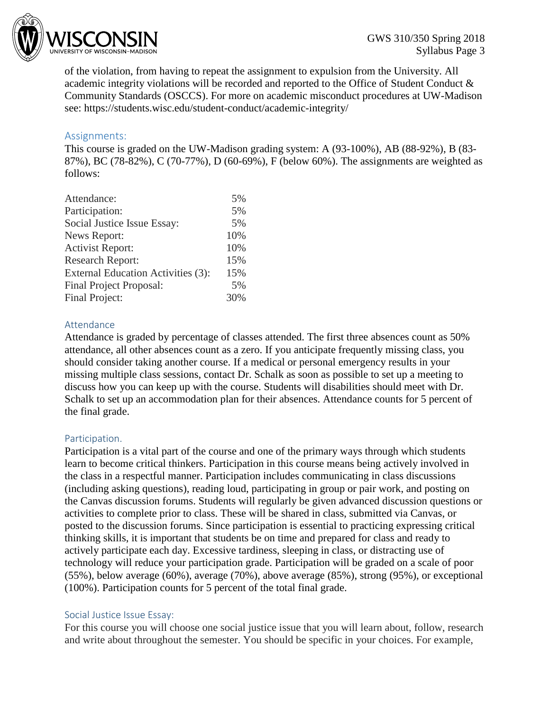

of the violation, from having to repeat the assignment to expulsion from the University. All academic integrity violations will be recorded and reported to the Office of Student Conduct & Community Standards (OSCCS). For more on academic misconduct procedures at UW-Madison see: https://students.wisc.edu/student-conduct/academic-integrity/

# Assignments:

This course is graded on the UW-Madison grading system: A (93-100%), AB (88-92%), B (83- 87%), BC (78-82%), C (70-77%), D (60-69%), F (below 60%). The assignments are weighted as follows:

| Attendance:                        | 5%  |
|------------------------------------|-----|
| Participation:                     | 5%  |
| Social Justice Issue Essay:        | 5%  |
| News Report:                       | 10% |
| <b>Activist Report:</b>            | 10% |
| <b>Research Report:</b>            | 15% |
| External Education Activities (3): | 15% |
| Final Project Proposal:            | 5%  |
| Final Project:                     | 30% |

## Attendance

Attendance is graded by percentage of classes attended. The first three absences count as 50% attendance, all other absences count as a zero. If you anticipate frequently missing class, you should consider taking another course. If a medical or personal emergency results in your missing multiple class sessions, contact Dr. Schalk as soon as possible to set up a meeting to discuss how you can keep up with the course. Students will disabilities should meet with Dr. Schalk to set up an accommodation plan for their absences. Attendance counts for 5 percent of the final grade.

#### Participation.

Participation is a vital part of the course and one of the primary ways through which students learn to become critical thinkers. Participation in this course means being actively involved in the class in a respectful manner. Participation includes communicating in class discussions (including asking questions), reading loud, participating in group or pair work, and posting on the Canvas discussion forums. Students will regularly be given advanced discussion questions or activities to complete prior to class. These will be shared in class, submitted via Canvas, or posted to the discussion forums. Since participation is essential to practicing expressing critical thinking skills, it is important that students be on time and prepared for class and ready to actively participate each day. Excessive tardiness, sleeping in class, or distracting use of technology will reduce your participation grade. Participation will be graded on a scale of poor (55%), below average (60%), average (70%), above average (85%), strong (95%), or exceptional (100%). Participation counts for 5 percent of the total final grade.

#### Social Justice Issue Essay:

For this course you will choose one social justice issue that you will learn about, follow, research and write about throughout the semester. You should be specific in your choices. For example,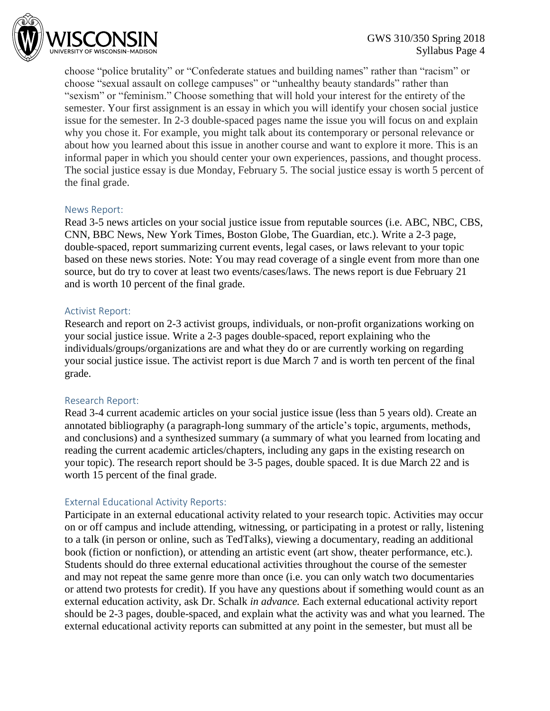

choose "police brutality" or "Confederate statues and building names" rather than "racism" or choose "sexual assault on college campuses" or "unhealthy beauty standards" rather than "sexism" or "feminism." Choose something that will hold your interest for the entirety of the semester. Your first assignment is an essay in which you will identify your chosen social justice issue for the semester. In 2-3 double-spaced pages name the issue you will focus on and explain why you chose it. For example, you might talk about its contemporary or personal relevance or about how you learned about this issue in another course and want to explore it more. This is an informal paper in which you should center your own experiences, passions, and thought process. The social justice essay is due Monday, February 5. The social justice essay is worth 5 percent of the final grade.

#### News Report:

Read 3-5 news articles on your social justice issue from reputable sources (i.e. ABC, NBC, CBS, CNN, BBC News, New York Times, Boston Globe, The Guardian, etc.). Write a 2-3 page, double-spaced, report summarizing current events, legal cases, or laws relevant to your topic based on these news stories. Note: You may read coverage of a single event from more than one source, but do try to cover at least two events/cases/laws. The news report is due February 21 and is worth 10 percent of the final grade.

## Activist Report:

Research and report on 2-3 activist groups, individuals, or non-profit organizations working on your social justice issue. Write a 2-3 pages double-spaced, report explaining who the individuals/groups/organizations are and what they do or are currently working on regarding your social justice issue. The activist report is due March 7 and is worth ten percent of the final grade.

## Research Report:

Read 3-4 current academic articles on your social justice issue (less than 5 years old). Create an annotated bibliography (a paragraph-long summary of the article's topic, arguments, methods, and conclusions) and a synthesized summary (a summary of what you learned from locating and reading the current academic articles/chapters, including any gaps in the existing research on your topic). The research report should be 3-5 pages, double spaced. It is due March 22 and is worth 15 percent of the final grade.

## External Educational Activity Reports:

Participate in an external educational activity related to your research topic. Activities may occur on or off campus and include attending, witnessing, or participating in a protest or rally, listening to a talk (in person or online, such as TedTalks), viewing a documentary, reading an additional book (fiction or nonfiction), or attending an artistic event (art show, theater performance, etc.). Students should do three external educational activities throughout the course of the semester and may not repeat the same genre more than once (i.e. you can only watch two documentaries or attend two protests for credit). If you have any questions about if something would count as an external education activity, ask Dr. Schalk *in advance.* Each external educational activity report should be 2-3 pages, double-spaced, and explain what the activity was and what you learned. The external educational activity reports can submitted at any point in the semester, but must all be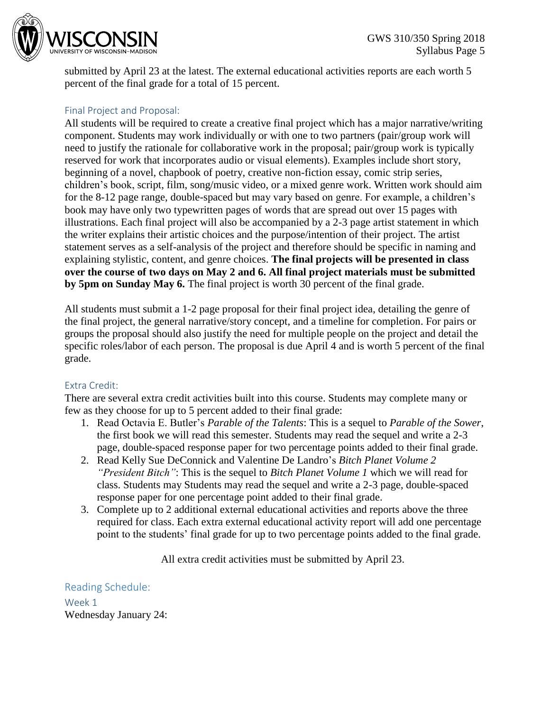

submitted by April 23 at the latest. The external educational activities reports are each worth 5 percent of the final grade for a total of 15 percent.

# Final Project and Proposal:

All students will be required to create a creative final project which has a major narrative/writing component. Students may work individually or with one to two partners (pair/group work will need to justify the rationale for collaborative work in the proposal; pair/group work is typically reserved for work that incorporates audio or visual elements). Examples include short story, beginning of a novel, chapbook of poetry, creative non-fiction essay, comic strip series, children's book, script, film, song/music video, or a mixed genre work. Written work should aim for the 8-12 page range, double-spaced but may vary based on genre. For example, a children's book may have only two typewritten pages of words that are spread out over 15 pages with illustrations. Each final project will also be accompanied by a 2-3 page artist statement in which the writer explains their artistic choices and the purpose/intention of their project. The artist statement serves as a self-analysis of the project and therefore should be specific in naming and explaining stylistic, content, and genre choices. **The final projects will be presented in class over the course of two days on May 2 and 6. All final project materials must be submitted by 5pm on Sunday May 6.** The final project is worth 30 percent of the final grade.

All students must submit a 1-2 page proposal for their final project idea, detailing the genre of the final project, the general narrative/story concept, and a timeline for completion. For pairs or groups the proposal should also justify the need for multiple people on the project and detail the specific roles/labor of each person. The proposal is due April 4 and is worth 5 percent of the final grade.

## Extra Credit:

There are several extra credit activities built into this course. Students may complete many or few as they choose for up to 5 percent added to their final grade:

- 1. Read Octavia E. Butler's *Parable of the Talents*: This is a sequel to *Parable of the Sower*, the first book we will read this semester. Students may read the sequel and write a 2-3 page, double-spaced response paper for two percentage points added to their final grade.
- 2. Read Kelly Sue DeConnick and Valentine De Landro's *Bitch Planet Volume 2 "President Bitch"*: This is the sequel to *Bitch Planet Volume 1* which we will read for class. Students may Students may read the sequel and write a 2-3 page, double-spaced response paper for one percentage point added to their final grade.
- 3. Complete up to 2 additional external educational activities and reports above the three required for class. Each extra external educational activity report will add one percentage point to the students' final grade for up to two percentage points added to the final grade.

All extra credit activities must be submitted by April 23.

Reading Schedule: Week 1 Wednesday January 24: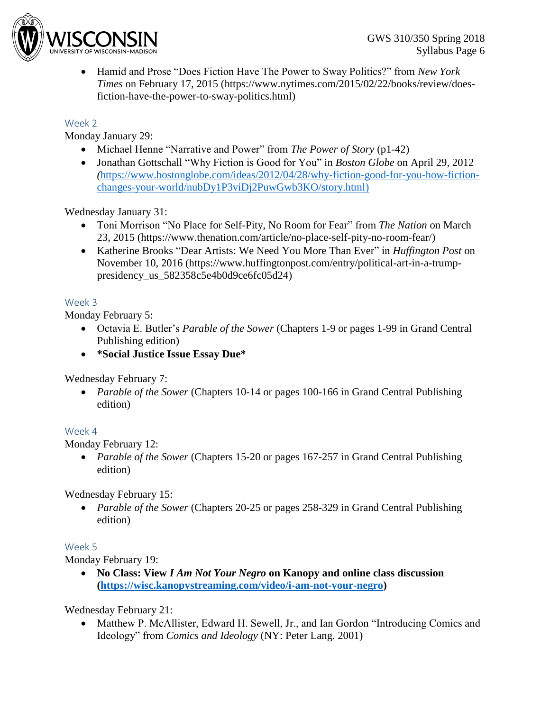

 Hamid and Prose "Does Fiction Have The Power to Sway Politics?" from *New York Times* on February 17, 2015 (https://www.nytimes.com/2015/02/22/books/review/doesfiction-have-the-power-to-sway-politics.html)

## Week 2

Monday January 29:

- Michael Henne "Narrative and Power" from *The Power of Story* (p1-42)
- Jonathan Gottschall "Why Fiction is Good for You" in *Boston Globe* on April 29, 2012 *(*[https://www.bostonglobe.com/ideas/2012/04/28/why-fiction-good-for-you-how-fiction](https://www.bostonglobe.com/ideas/2012/04/28/why-fiction-good-for-you-how-fiction-changes-your-world/nubDy1P3viDj2PuwGwb3KO/story.html)[changes-your-world/nubDy1P3viDj2PuwGwb3KO/story.html\)](https://www.bostonglobe.com/ideas/2012/04/28/why-fiction-good-for-you-how-fiction-changes-your-world/nubDy1P3viDj2PuwGwb3KO/story.html)

Wednesday January 31:

- Toni Morrison "No Place for Self-Pity, No Room for Fear" from *The Nation* on March 23, 2015 (https://www.thenation.com/article/no-place-self-pity-no-room-fear/)
- Katherine Brooks "Dear Artists: We Need You More Than Ever" in *Huffington Post* on November 10, 2016 (https://www.huffingtonpost.com/entry/political-art-in-a-trumppresidency\_us\_582358c5e4b0d9ce6fc05d24)

## Week 3

Monday February 5:

- Octavia E. Butler's *Parable of the Sower* (Chapters 1-9 or pages 1-99 in Grand Central Publishing edition)
- **\*Social Justice Issue Essay Due\***

Wednesday February 7:

 *Parable of the Sower* (Chapters 10-14 or pages 100-166 in Grand Central Publishing edition)

## Week 4

Monday February 12:

 *Parable of the Sower* (Chapters 15-20 or pages 167-257 in Grand Central Publishing edition)

Wednesday February 15:

 *Parable of the Sower* (Chapters 20-25 or pages 258-329 in Grand Central Publishing edition)

## Week 5

Monday February 19:

 **No Class: View** *I Am Not Your Negro* **on Kanopy and online class discussion [\(https://wisc.kanopystreaming.com/video/i-am-not-your-negro\)](https://wisc.kanopystreaming.com/video/i-am-not-your-negro)**

Wednesday February 21:

• Matthew P. McAllister, Edward H. Sewell, Jr., and Ian Gordon "Introducing Comics and Ideology" from *Comics and Ideology* (NY: Peter Lang. 2001)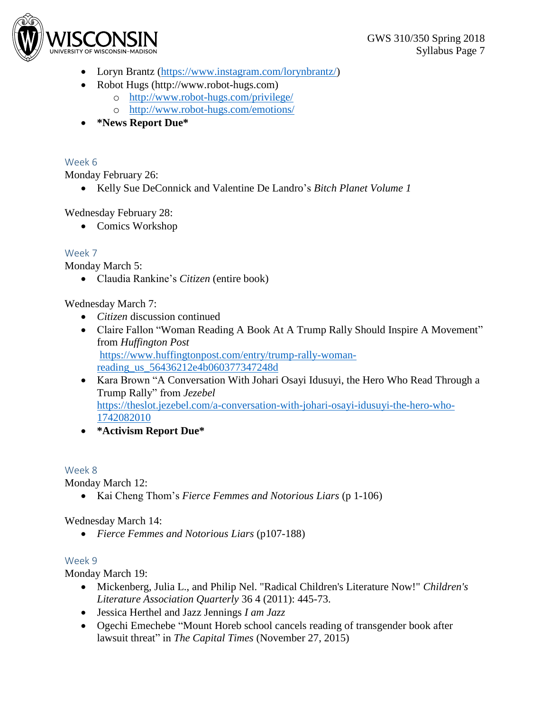

- Loryn Brantz [\(https://www.instagram.com/lorynbrantz/\)](https://www.instagram.com/lorynbrantz/)
- Robot Hugs (http://www.robot-hugs.com)
	- o <http://www.robot-hugs.com/privilege/>
	- o <http://www.robot-hugs.com/emotions/>
- **\*News Report Due\***

## Week 6

Monday February 26:

Kelly Sue DeConnick and Valentine De Landro's *Bitch Planet Volume 1*

Wednesday February 28:

• Comics Workshop

## Week 7

Monday March 5:

Claudia Rankine's *Citizen* (entire book)

Wednesday March 7:

- *Citizen* discussion continued
- Claire Fallon "Woman Reading A Book At A Trump Rally Should Inspire A Movement" from *Huffington Post* [https://www.huffingtonpost.com/entry/trump-rally-woman](https://www.huffingtonpost.com/entry/trump-rally-woman-reading_us_56436212e4b060377347248d)[reading\\_us\\_56436212e4b060377347248d](https://www.huffingtonpost.com/entry/trump-rally-woman-reading_us_56436212e4b060377347248d)
- Kara Brown "A Conversation With Johari Osayi Idusuyi, the Hero Who Read Through a Trump Rally" from *Jezebel* [https://theslot.jezebel.com/a-conversation-with-johari-osayi-idusuyi-the-hero-who-](https://theslot.jezebel.com/a-conversation-with-johari-osayi-idusuyi-the-hero-who-1742082010)[1742082010](https://theslot.jezebel.com/a-conversation-with-johari-osayi-idusuyi-the-hero-who-1742082010)
- **\*Activism Report Due\***

## Week 8

Monday March 12:

Kai Cheng Thom's *Fierce Femmes and Notorious Liars* (p 1-106)

Wednesday March 14:

*Fierce Femmes and Notorious Liars* (p107-188)

## Week 9

Monday March 19:

- Mickenberg, Julia L., and Philip Nel. "Radical Children's Literature Now!" *Children's Literature Association Quarterly* 36 4 (2011): 445-73.
- Jessica Herthel and Jazz Jennings *I am Jazz*
- Ogechi Emechebe "Mount Horeb school cancels reading of transgender book after lawsuit threat" in *The Capital Times* (November 27, 2015)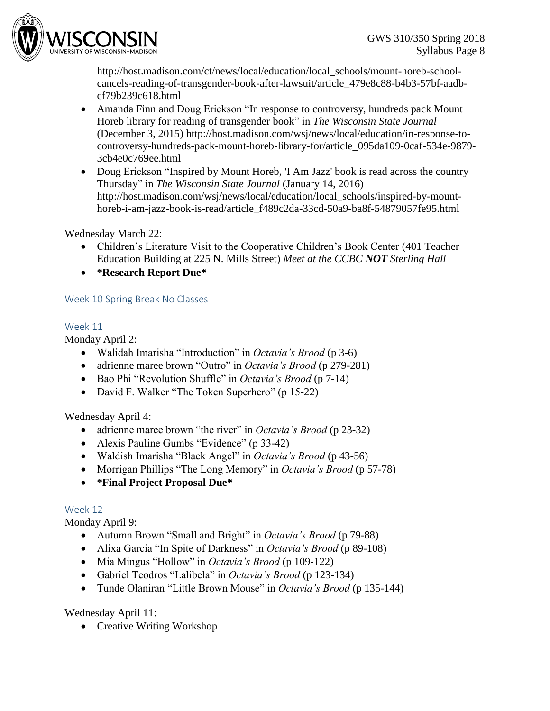

http://host.madison.com/ct/news/local/education/local\_schools/mount-horeb-schoolcancels-reading-of-transgender-book-after-lawsuit/article\_479e8c88-b4b3-57bf-aadbcf79b239c618.html

- Amanda Finn and Doug Erickson "In response to controversy, hundreds pack Mount Horeb library for reading of transgender book" in *The Wisconsin State Journal*  (December 3, 2015) http://host.madison.com/wsj/news/local/education/in-response-tocontroversy-hundreds-pack-mount-horeb-library-for/article\_095da109-0caf-534e-9879- 3cb4e0c769ee.html
- Doug Erickson "Inspired by Mount Horeb, 'I Am Jazz' book is read across the country Thursday" in *The Wisconsin State Journal* (January 14, 2016) http://host.madison.com/wsj/news/local/education/local\_schools/inspired-by-mounthoreb-i-am-jazz-book-is-read/article\_f489c2da-33cd-50a9-ba8f-54879057fe95.html

Wednesday March 22:

- Children's Literature Visit to the Cooperative Children's Book Center (401 Teacher Education Building at 225 N. Mills Street) *Meet at the CCBC NOT Sterling Hall*
- **\*Research Report Due\***

## Week 10 Spring Break No Classes

## Week 11

Monday April 2:

- Walidah Imarisha "Introduction" in *Octavia's Brood* (p 3-6)
- adrienne maree brown "Outro" in *Octavia's Brood* (p 279-281)
- Bao Phi "Revolution Shuffle" in *Octavia's Brood* (p 7-14)
- David F. Walker "The Token Superhero" (p 15-22)

Wednesday April 4:

- adrienne maree brown "the river" in *Octavia's Brood* (p 23-32)
- Alexis Pauline Gumbs "Evidence" (p 33-42)
- Waldish Imarisha "Black Angel" in *Octavia's Brood* (p 43-56)
- Morrigan Phillips "The Long Memory" in *Octavia's Brood* (p 57-78)
- **\*Final Project Proposal Due\***

## Week 12

Monday April 9:

- Autumn Brown "Small and Bright" in *Octavia's Brood* (p 79-88)
- Alixa Garcia "In Spite of Darkness" in *Octavia's Brood* (p 89-108)
- Mia Mingus "Hollow" in *Octavia's Brood* (p 109-122)
- Gabriel Teodros "Lalibela" in *Octavia's Brood* (p 123-134)
- Tunde Olaniran "Little Brown Mouse" in *Octavia's Brood* (p 135-144)

Wednesday April 11:

• Creative Writing Workshop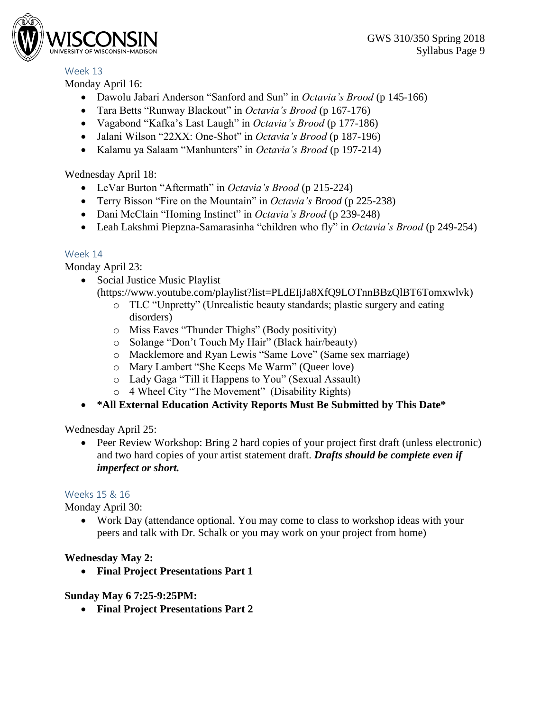# Week 13

Monday April 16:

- Dawolu Jabari Anderson "Sanford and Sun" in *Octavia's Brood* (p 145-166)
- Tara Betts "Runway Blackout" in *Octavia's Brood* (p 167-176)
- Vagabond "Kafka's Last Laugh" in *Octavia's Brood* (p 177-186)
- Jalani Wilson "22XX: One-Shot" in *Octavia's Brood* (p 187-196)
- Kalamu ya Salaam "Manhunters" in *Octavia's Brood* (p 197-214)

Wednesday April 18:

- LeVar Burton "Aftermath" in *Octavia's Brood* (p 215-224)
- Terry Bisson "Fire on the Mountain" in *Octavia's Brood* (p 225-238)
- Dani McClain "Homing Instinct" in *Octavia's Brood* (p 239-248)
- Leah Lakshmi Piepzna-Samarasinha "children who fly" in *Octavia's Brood* (p 249-254)

# Week 14

Monday April 23:

- Social Justice Music Playlist (https://www.youtube.com/playlist?list=PLdEIjJa8XfQ9LOTnnBBzQlBT6Tomxwlvk)
	- o TLC "Unpretty" (Unrealistic beauty standards; plastic surgery and eating disorders)
	- o Miss Eaves "Thunder Thighs" (Body positivity)
	- o Solange "Don't Touch My Hair" (Black hair/beauty)
	- o Macklemore and Ryan Lewis "Same Love" (Same sex marriage)
	- o Mary Lambert "She Keeps Me Warm" (Queer love)
	- o Lady Gaga "Till it Happens to You" (Sexual Assault)
	- o 4 Wheel City "The Movement" (Disability Rights)
- **\*All External Education Activity Reports Must Be Submitted by This Date\***

Wednesday April 25:

• Peer Review Workshop: Bring 2 hard copies of your project first draft (unless electronic) and two hard copies of your artist statement draft. *Drafts should be complete even if imperfect or short.*

## Weeks 15 & 16

Monday April 30:

 Work Day (attendance optional. You may come to class to workshop ideas with your peers and talk with Dr. Schalk or you may work on your project from home)

# **Wednesday May 2:**

**Final Project Presentations Part 1**

## **Sunday May 6 7:25-9:25PM:**

**Final Project Presentations Part 2**